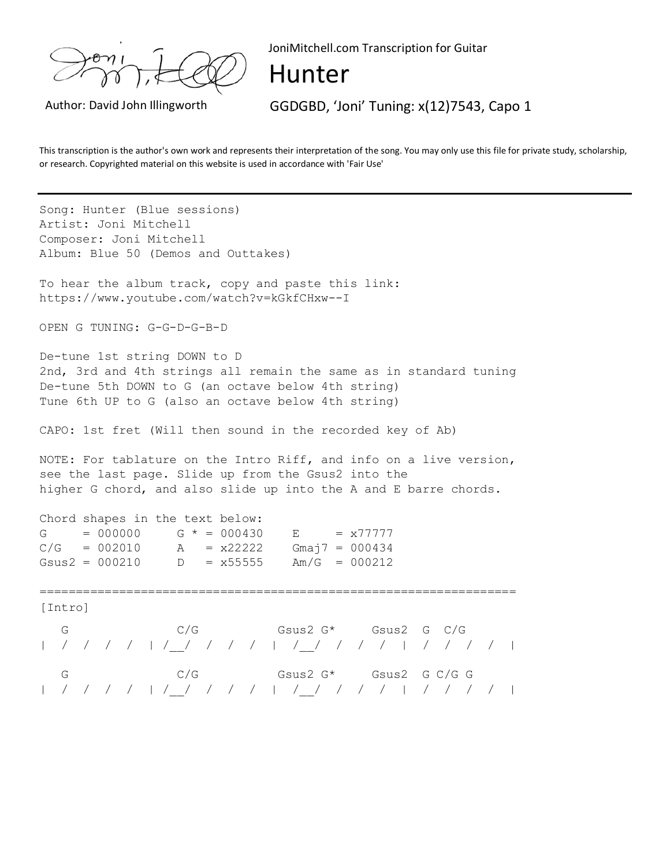JoniMitchell.com Transcription for Guitar

## Hunter

Author: David John Illingworth GGDGBD, 'Joni' Tuning: x(12)7543, Capo 1

This transcription is the author's own work and represents their interpretation of the song. You may only use this file for private study, scholarship, or research. Copyrighted material on this website is used in accordance with 'Fair Use'

Song: Hunter (Blue sessions) Artist: Joni Mitchell Composer: Joni Mitchell Album: Blue 50 (Demos and Outtakes) To hear the album track, copy and paste this link: https://www.youtube.com/watch?v=kGkfCHxw--I OPEN G TUNING: G-G-D-G-B-D De-tune 1st string DOWN to D 2nd, 3rd and 4th strings all remain the same as in standard tuning De-tune 5th DOWN to G (an octave below 4th string) Tune 6th UP to G (also an octave below 4th string) CAPO: 1st fret (Will then sound in the recorded key of Ab) NOTE: For tablature on the Intro Riff, and info on a live version, see the last page. Slide up from the Gsus2 into the higher G chord, and also slide up into the A and E barre chords. Chord shapes in the text below: G = 000000 G  $\star$  = 000430 E = x77777<br>C/G = 002010 A = x22222 Gmaj7 = 000434  $= 002010$  A =  $x22222$  Gmaj7 = 000434 Gsus2 =  $000210$  D =  $x55555$  Am/G =  $000212$ ================================================================== [Intro] G C/G Gsus2 G\* Gsus2 G C/G | *| / / / | | <u>|</u> | / /* | *| <u>|</u> / / / / | / / / / |*  G C/G Gsus2 G\* Gsus2 G C/G G | / / / / | /\_\_/ / / / | /\_\_/ / / / | / / / / |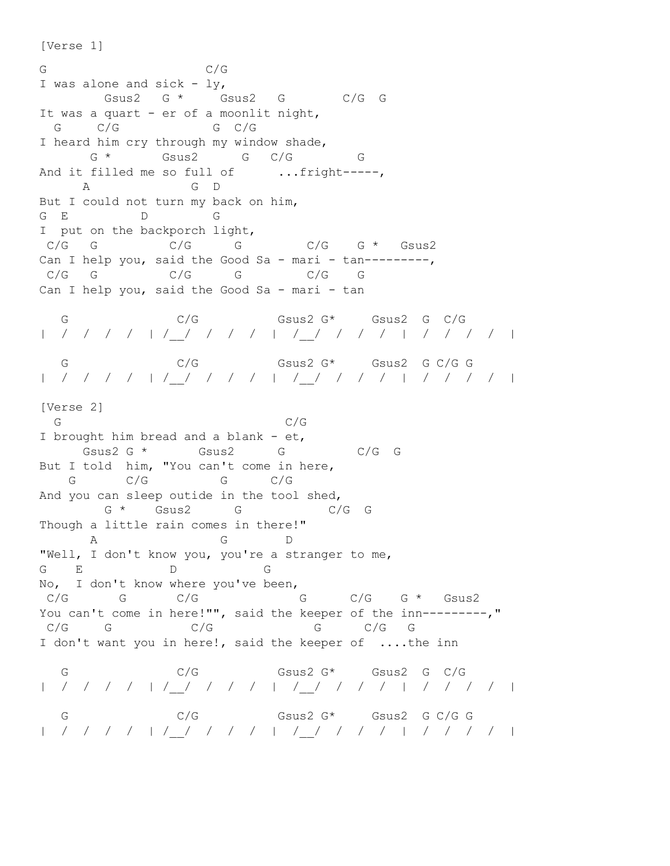[Verse 1]

G C/G I was alone and sick -  $ly$ ,  $Gsus2$   $G *$   $Gsus2$   $G$   $C/G$   $G$ It was a quart - er of a moonlit night, G C/G G C/G<br>I heard him cry through my window shade, I heard him cry through my window shade, G \* Gsus2 G C/G G And it filled me so full of ...fright-----, A G D But I could not turn my back on him, G E D G I put on the backporch light,  $C/G$  G  $C/G$  G  $C/G$  G  $C/G$  G  $S\rightarrow$  G  $S\cup S2$ Can I help you, said the Good Sa - mari - tan---------, C/G G C/G G C/G G Can I help you, said the Good Sa - mari - tan G C/G Gsus2 G\* Gsus2 G C/G | / / / / | /\_\_/ / / / | /\_\_/ / / / | / / / / | G C/G Gsus2 G\* Gsus2 G C/G G | / / / / | /\_\_/ / / / | /\_\_/ / / / | / / / / | [Verse 2] G C/G I brought him bread and a blank - et, Gsus2 G \* Gsus2 G C/G G But I told him, "You can't come in here, G C/G G C/G And you can sleep outide in the tool shed,  $G \star G$  Gsus2 G C/G G Though a little rain comes in there!" A G D "Well, I don't know you, you're a stranger to me, G E D G No, I don't know where you've been,  $C/G$  G  $C/G$  G  $C/G$  G  $C/G$  G  $C/G$  G  $SUS2$ You can't come in here!"", said the keeper of the inn---------," C/G G C/G G C/G G I don't want you in here!, said the keeper of ....the inn G C/G Gsus2 G\* Gsus2 G C/G | / / / / | /\_\_/ / / / | /\_\_/ / / / | / / / / | G C/G Gsus2 G\* Gsus2 G C/G G | / / / / | /\_\_/ / / / | /\_\_/ / / / | / / / / |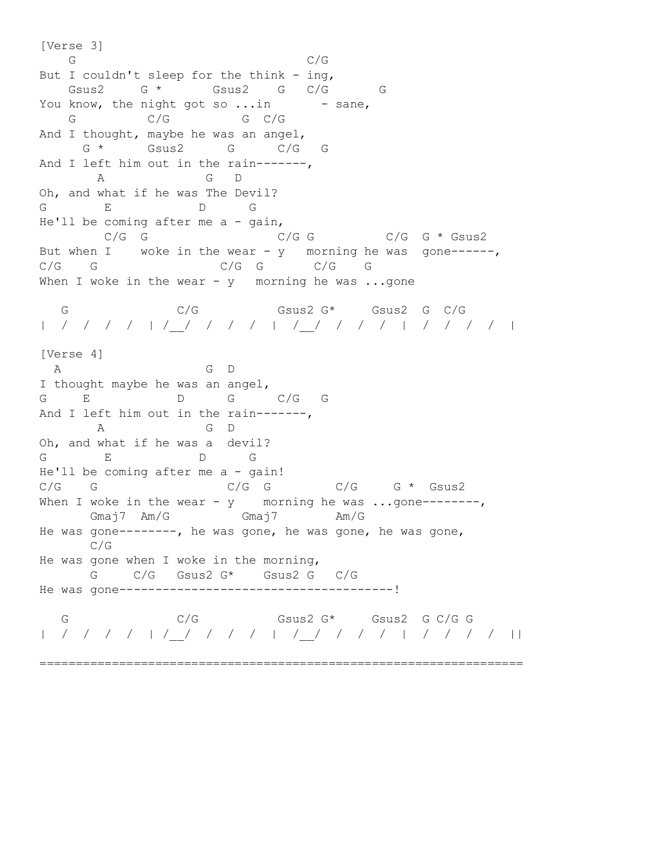[Verse 3]  $G$  c/G But I couldn't sleep for the think - ing, Gsus2 G \* Gsus2 G C/G G You know, the night got so ...in - sane, G C/G G C/G And I thought, maybe he was an angel, G \* Gsus2 G C/G G And I left him out in the rain-------, A G D Oh, and what if he was The Devil? G E D G He'll be coming after me  $a - gain$ ,  $C/G$  G  $C/G$  G  $C/G$  G  $C/G$  G  $K$  Gsus2 But when I woke in the wear -  $y$  morning he was gone------, C/G G C/G G C/G G When I woke in the wear -  $y$  morning he was ...gone G C/G Gsus2 G\* Gsus2 G C/G | / / / / | /\_\_/ / / / | /\_\_/ / / / | / / / / | [Verse 4] A G D I thought maybe he was an angel, G E D G C/G G And I left him out in the rain-------, A G D Oh, and what if he was a devil? G E D G He'll be coming after me a - gain!  $C/G$  G  $C/G$  G  $C/G$  G  $C/G$  G  $S$   $\uparrow$  G  $S$  G  $S$ When I woke in the wear -  $y$  morning he was ...gone--------, Gmaj7 Am/G Gmaj7 Am/G He was gone--------, he was gone, he was gone, he was gone, C/G He was gone when I woke in the morning, G C/G Gsus2 G\* Gsus2 G C/G He was gone--------------------------------------! G C/G Gsus2 G\* Gsus2 G C/G G | / / / / | /\_\_/ / / / | /\_\_/ / / / | / / / / ||

===================================================================